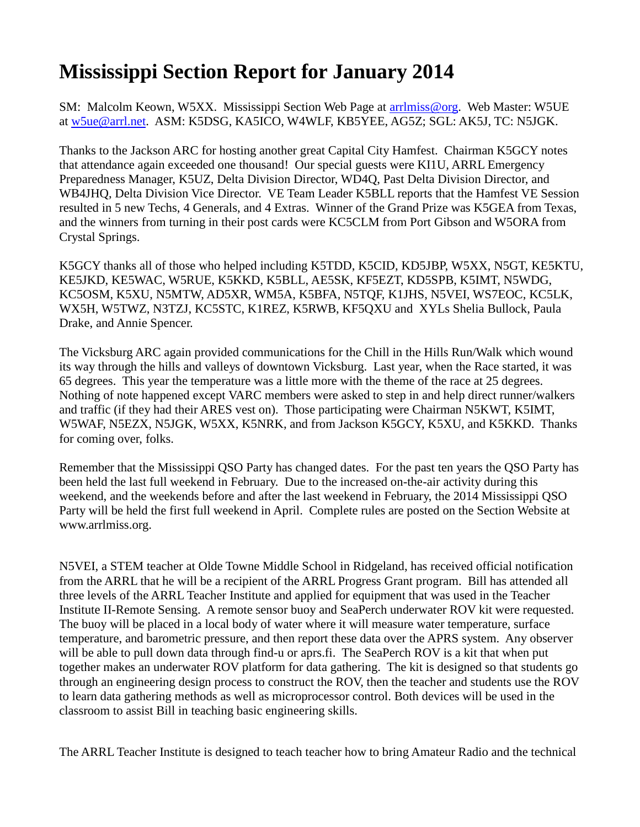## **Mississippi Section Report for January 2014**

SM: Malcolm Keown, W5XX. Mississippi Section Web Page at [arrlmiss@org.](mailto:arrlmiss@org) Web Master: W5UE at [w5ue@arrl.net.](mailto:w5ue@arrl.net) ASM: K5DSG, KA5ICO, W4WLF, KB5YEE, AG5Z; SGL: AK5J, TC: N5JGK.

Thanks to the Jackson ARC for hosting another great Capital City Hamfest. Chairman K5GCY notes that attendance again exceeded one thousand! Our special guests were KI1U, ARRL Emergency Preparedness Manager, K5UZ, Delta Division Director, WD4Q, Past Delta Division Director, and WB4JHQ, Delta Division Vice Director. VE Team Leader K5BLL reports that the Hamfest VE Session resulted in 5 new Techs, 4 Generals, and 4 Extras. Winner of the Grand Prize was K5GEA from Texas, and the winners from turning in their post cards were KC5CLM from Port Gibson and W5ORA from Crystal Springs.

K5GCY thanks all of those who helped including K5TDD, K5CID, KD5JBP, W5XX, N5GT, KE5KTU, KE5JKD, KE5WAC, W5RUE, K5KKD, K5BLL, AE5SK, KF5EZT, KD5SPB, K5IMT, N5WDG, KC5OSM, K5XU, N5MTW, AD5XR, WM5A, K5BFA, N5TQF, K1JHS, N5VEI, WS7EOC, KC5LK, WX5H, W5TWZ, N3TZJ, KC5STC, K1REZ, K5RWB, KF5QXU and XYLs Shelia Bullock, Paula Drake, and Annie Spencer.

The Vicksburg ARC again provided communications for the Chill in the Hills Run/Walk which wound its way through the hills and valleys of downtown Vicksburg. Last year, when the Race started, it was 65 degrees. This year the temperature was a little more with the theme of the race at 25 degrees. Nothing of note happened except VARC members were asked to step in and help direct runner/walkers and traffic (if they had their ARES vest on). Those participating were Chairman N5KWT, K5IMT, W5WAF, N5EZX, N5JGK, W5XX, K5NRK, and from Jackson K5GCY, K5XU, and K5KKD. Thanks for coming over, folks.

Remember that the Mississippi QSO Party has changed dates. For the past ten years the QSO Party has been held the last full weekend in February. Due to the increased on-the-air activity during this weekend, and the weekends before and after the last weekend in February, the 2014 Mississippi QSO Party will be held the first full weekend in April. Complete rules are posted on the Section Website at [www.arrlmiss.org.](http://www.arrlmiss.org/)

N5VEI, a STEM teacher at Olde Towne Middle School in Ridgeland, has received official notification from the ARRL that he will be a recipient of the ARRL Progress Grant program. Bill has attended all three levels of the ARRL Teacher Institute and applied for equipment that was used in the Teacher Institute II-Remote Sensing. A remote sensor buoy and SeaPerch underwater ROV kit were requested. The buoy will be placed in a local body of water where it will measure water temperature, surface temperature, and barometric pressure, and then report these data over the APRS system. Any observer will be able to pull down data through find-u or [aprs.fi.](http://aprs.fi/) The SeaPerch ROV is a kit that when put together makes an underwater ROV platform for data gathering. The kit is designed so that students go through an engineering design process to construct the ROV, then the teacher and students use the ROV to learn data gathering methods as well as microprocessor control. Both devices will be used in the classroom to assist Bill in teaching basic engineering skills.

The ARRL Teacher Institute is designed to teach teacher how to bring Amateur Radio and the technical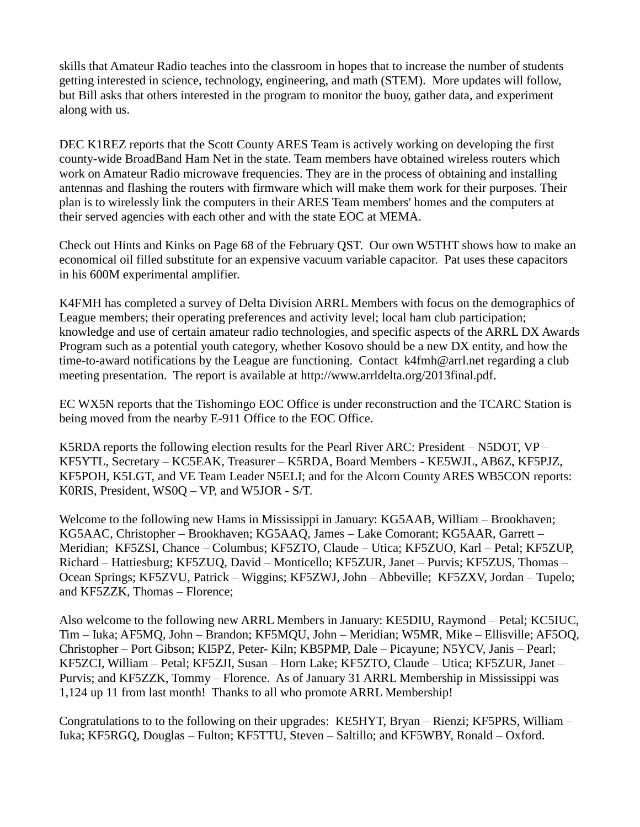skills that Amateur Radio teaches into the classroom in hopes that to increase the number of students getting interested in science, technology, engineering, and math (STEM). More updates will follow, but Bill asks that others interested in the program to monitor the buoy, gather data, and experiment along with us.

DEC K1REZ reports that the Scott County ARES Team is actively working on developing the first county-wide BroadBand Ham Net in the state. Team members have obtained wireless routers which work on Amateur Radio microwave frequencies. They are in the process of obtaining and installing antennas and flashing the routers with firmware which will make them work for their purposes. Their plan is to wirelessly link the computers in their ARES Team members' homes and the computers at their served agencies with each other and with the state EOC at MEMA.

Check out Hints and Kinks on Page 68 of the February QST. Our own W5THT shows how to make an economical oil filled substitute for an expensive vacuum variable capacitor. Pat uses these capacitors in his 600M experimental amplifier.

K4FMH has completed a survey of Delta Division ARRL Members with focus on the demographics of League members; their operating preferences and activity level; local ham club participation; knowledge and use of certain amateur radio technologies, and specific aspects of the ARRL DX Awards Program such as a potential youth category, whether Kosovo should be a new DX entity, and how the time-to-award notifications by the League are functioning. Contact [k4fmh@arrl.net](mailto:k5fmh@arrl.net) regarding a club meeting presentation. The report is available at [http://www.arrldelta.org/2013final.pdf.](http://www.arrldelta.org/2013final.pdf)

EC WX5N reports that the Tishomingo EOC Office is under reconstruction and the TCARC Station is being moved from the nearby E-911 Office to the EOC Office.

K5RDA reports the following election results for the Pearl River ARC: President – N5DOT, VP – KF5YTL, Secretary – KC5EAK, Treasurer – K5RDA, Board Members - KE5WJL, AB6Z, KF5PJZ, KF5POH, K5LGT, and VE Team Leader N5ELI; and for the Alcorn County ARES WB5CON reports: K0RIS, President, WS0Q – VP, and W5JOR - S/T.

Welcome to the following new Hams in Mississippi in January: KG5AAB, William – Brookhaven; KG5AAC, Christopher – Brookhaven; KG5AAQ, James – Lake Comorant; KG5AAR, Garrett – Meridian; KF5ZSI, Chance – Columbus; KF5ZTO, Claude – Utica; KF5ZUO, Karl – Petal; KF5ZUP, Richard – Hattiesburg; KF5ZUQ, David – Monticello; KF5ZUR, Janet – Purvis; KF5ZUS, Thomas – Ocean Springs; KF5ZVU, Patrick – Wiggins; KF5ZWJ, John – Abbeville; KF5ZXV, Jordan – Tupelo; and KF5ZZK, Thomas – Florence;

Also welcome to the following new ARRL Members in January: KE5DIU, Raymond – Petal; KC5IUC, Tim – Iuka; AF5MQ, John – Brandon; KF5MQU, John – Meridian; W5MR, Mike – Ellisville; AF5OQ, Christopher – Port Gibson; KI5PZ, Peter- Kiln; KB5PMP, Dale – Picayune; N5YCV, Janis – Pearl; KF5ZCI, William – Petal; KF5ZJI, Susan – Horn Lake; KF5ZTO, Claude – Utica; KF5ZUR, Janet – Purvis; and KF5ZZK, Tommy – Florence. As of January 31 ARRL Membership in Mississippi was 1,124 up 11 from last month! Thanks to all who promote ARRL Membership!

Congratulations to to the following on their upgrades: KE5HYT, Bryan – Rienzi; KF5PRS, William – Iuka; KF5RGQ, Douglas – Fulton; KF5TTU, Steven – Saltillo; and KF5WBY, Ronald – Oxford.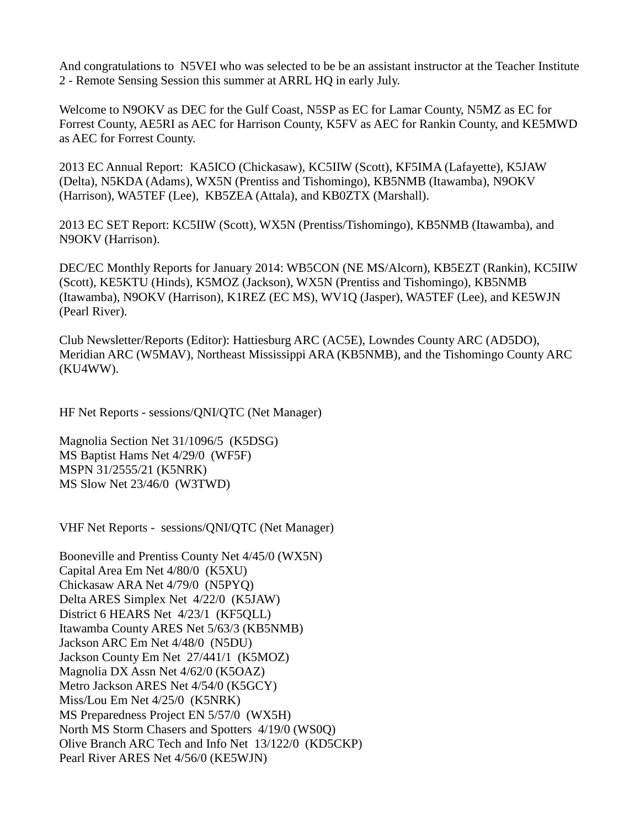And congratulations to N5VEI who was selected to be be an assistant instructor at the Teacher Institute 2 - Remote Sensing Session this summer at ARRL HQ in early July.

Welcome to N9OKV as DEC for the Gulf Coast, N5SP as EC for Lamar County, N5MZ as EC for Forrest County, AE5RI as AEC for Harrison County, K5FV as AEC for Rankin County, and KE5MWD as AEC for Forrest County.

2013 EC Annual Report: KA5ICO (Chickasaw), KC5IIW (Scott), KF5IMA (Lafayette), K5JAW (Delta), N5KDA (Adams), WX5N (Prentiss and Tishomingo), KB5NMB (Itawamba), N9OKV (Harrison), WA5TEF (Lee), KB5ZEA (Attala), and KB0ZTX (Marshall).

2013 EC SET Report: KC5IIW (Scott), WX5N (Prentiss/Tishomingo), KB5NMB (Itawamba), and N9OKV (Harrison).

DEC/EC Monthly Reports for January 2014: WB5CON (NE MS/Alcorn), KB5EZT (Rankin), KC5IIW (Scott), KE5KTU (Hinds), K5MOZ (Jackson), WX5N (Prentiss and Tishomingo), KB5NMB (Itawamba), N9OKV (Harrison), K1REZ (EC MS), WV1Q (Jasper), WA5TEF (Lee), and KE5WJN (Pearl River).

Club Newsletter/Reports (Editor): Hattiesburg ARC (AC5E), Lowndes County ARC (AD5DO), Meridian ARC (W5MAV), Northeast Mississippi ARA (KB5NMB), and the Tishomingo County ARC (KU4WW).

HF Net Reports - sessions/QNI/QTC (Net Manager)

Magnolia Section Net 31/1096/5 (K5DSG) MS Baptist Hams Net 4/29/0 (WF5F) MSPN 31/2555/21 (K5NRK) MS Slow Net 23/46/0 (W3TWD)

VHF Net Reports - sessions/QNI/QTC (Net Manager)

Booneville and Prentiss County Net 4/45/0 (WX5N) Capital Area Em Net 4/80/0 (K5XU) Chickasaw ARA Net 4/79/0 (N5PYQ) Delta ARES Simplex Net 4/22/0 (K5JAW) District 6 HEARS Net 4/23/1 (KF5QLL) Itawamba County ARES Net 5/63/3 (KB5NMB) Jackson ARC Em Net 4/48/0 (N5DU) Jackson County Em Net 27/441/1 (K5MOZ) Magnolia DX Assn Net 4/62/0 (K5OAZ) Metro Jackson ARES Net 4/54/0 (K5GCY) Miss/Lou Em Net 4/25/0 (K5NRK) MS Preparedness Project EN 5/57/0 (WX5H) North MS Storm Chasers and Spotters 4/19/0 (WS0Q) Olive Branch ARC Tech and Info Net 13/122/0 (KD5CKP) Pearl River ARES Net 4/56/0 (KE5WJN)